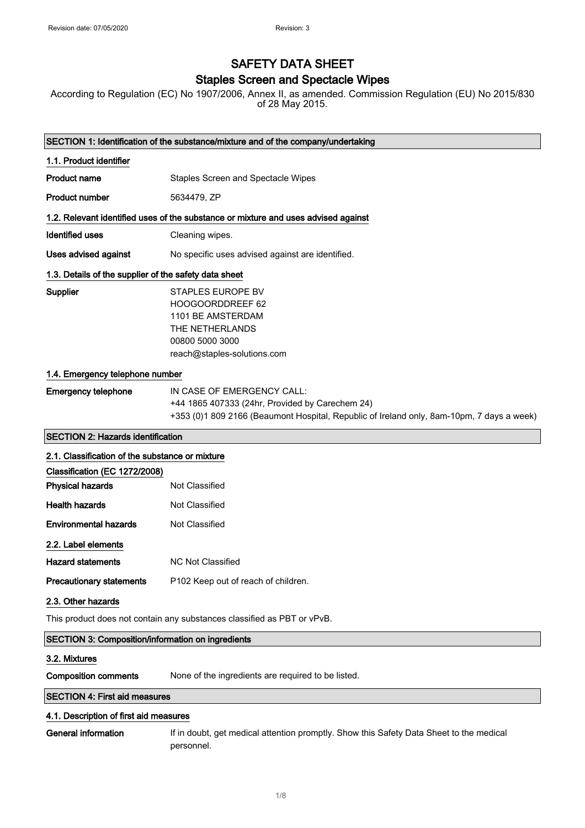# SAFETY DATA SHEET

### Staples Screen and Spectacle Wipes

According to Regulation (EC) No 1907/2006, Annex II, as amended. Commission Regulation (EU) No 2015/830 of 28 May 2015.

| SECTION 1: Identification of the substance/mixture and of the company/undertaking |                                                                                                                                                                            |  |
|-----------------------------------------------------------------------------------|----------------------------------------------------------------------------------------------------------------------------------------------------------------------------|--|
| 1.1. Product identifier                                                           |                                                                                                                                                                            |  |
| <b>Product name</b>                                                               | Staples Screen and Spectacle Wipes                                                                                                                                         |  |
| <b>Product number</b>                                                             | 5634479, ZP                                                                                                                                                                |  |
|                                                                                   | 1.2. Relevant identified uses of the substance or mixture and uses advised against                                                                                         |  |
| Identified uses                                                                   | Cleaning wipes.                                                                                                                                                            |  |
| Uses advised against                                                              | No specific uses advised against are identified.                                                                                                                           |  |
| 1.3. Details of the supplier of the safety data sheet                             |                                                                                                                                                                            |  |
| Supplier                                                                          | STAPLES EUROPE BV<br>HOOGOORDDREEF 62<br>1101 BE AMSTERDAM<br>THE NETHERLANDS<br>00800 5000 3000<br>reach@staples-solutions.com                                            |  |
| 1.4. Emergency telephone number                                                   |                                                                                                                                                                            |  |
| <b>Emergency telephone</b>                                                        | IN CASE OF EMERGENCY CALL:<br>+44 1865 407333 (24hr, Provided by Carechem 24)<br>+353 (0)1 809 2166 (Beaumont Hospital, Republic of Ireland only, 8am-10pm, 7 days a week) |  |
| <b>SECTION 2: Hazards identification</b>                                          |                                                                                                                                                                            |  |
| 2.1. Classification of the substance or mixture                                   |                                                                                                                                                                            |  |
| Classification (EC 1272/2008)                                                     |                                                                                                                                                                            |  |
| <b>Physical hazards</b>                                                           | <b>Not Classified</b>                                                                                                                                                      |  |
| <b>Health hazards</b>                                                             | Not Classified                                                                                                                                                             |  |
| <b>Environmental hazards</b>                                                      | Not Classified                                                                                                                                                             |  |
| 2.2. Label elements                                                               |                                                                                                                                                                            |  |
| <b>Hazard statements</b>                                                          | <b>NC Not Classified</b>                                                                                                                                                   |  |
| <b>Precautionary statements</b>                                                   | P102 Keep out of reach of children.                                                                                                                                        |  |
| 2.3. Other hazards                                                                |                                                                                                                                                                            |  |
| This product does not contain any substances classified as PBT or vPvB.           |                                                                                                                                                                            |  |
| SECTION 3: Composition/information on ingredients                                 |                                                                                                                                                                            |  |
| 3.2. Mixtures                                                                     |                                                                                                                                                                            |  |
| <b>Composition comments</b>                                                       | None of the ingredients are required to be listed.                                                                                                                         |  |
| <b>SECTION 4: First aid measures</b>                                              |                                                                                                                                                                            |  |
| 4.1. Description of first aid measures                                            |                                                                                                                                                                            |  |
| General information                                                               | If in doubt, get medical attention promptly. Show this Safety Data Sheet to the medical                                                                                    |  |

personnel.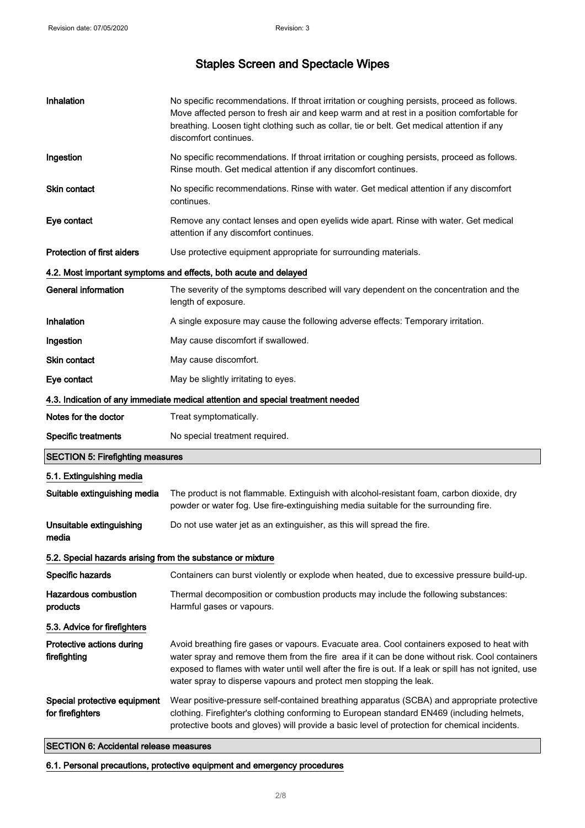| Inhalation                                                 | No specific recommendations. If throat irritation or coughing persists, proceed as follows.<br>Move affected person to fresh air and keep warm and at rest in a position comfortable for<br>breathing. Loosen tight clothing such as collar, tie or belt. Get medical attention if any<br>discomfort continues.                                                              |
|------------------------------------------------------------|------------------------------------------------------------------------------------------------------------------------------------------------------------------------------------------------------------------------------------------------------------------------------------------------------------------------------------------------------------------------------|
| Ingestion                                                  | No specific recommendations. If throat irritation or coughing persists, proceed as follows.<br>Rinse mouth. Get medical attention if any discomfort continues.                                                                                                                                                                                                               |
| <b>Skin contact</b>                                        | No specific recommendations. Rinse with water. Get medical attention if any discomfort<br>continues.                                                                                                                                                                                                                                                                         |
| Eye contact                                                | Remove any contact lenses and open eyelids wide apart. Rinse with water. Get medical<br>attention if any discomfort continues.                                                                                                                                                                                                                                               |
| Protection of first aiders                                 | Use protective equipment appropriate for surrounding materials.                                                                                                                                                                                                                                                                                                              |
|                                                            | 4.2. Most important symptoms and effects, both acute and delayed                                                                                                                                                                                                                                                                                                             |
| <b>General information</b>                                 | The severity of the symptoms described will vary dependent on the concentration and the<br>length of exposure.                                                                                                                                                                                                                                                               |
| Inhalation                                                 | A single exposure may cause the following adverse effects: Temporary irritation.                                                                                                                                                                                                                                                                                             |
| Ingestion                                                  | May cause discomfort if swallowed.                                                                                                                                                                                                                                                                                                                                           |
| Skin contact                                               | May cause discomfort.                                                                                                                                                                                                                                                                                                                                                        |
| Eye contact                                                | May be slightly irritating to eyes.                                                                                                                                                                                                                                                                                                                                          |
|                                                            | 4.3. Indication of any immediate medical attention and special treatment needed                                                                                                                                                                                                                                                                                              |
| Notes for the doctor                                       | Treat symptomatically.                                                                                                                                                                                                                                                                                                                                                       |
| <b>Specific treatments</b>                                 | No special treatment required.                                                                                                                                                                                                                                                                                                                                               |
| <b>SECTION 5: Firefighting measures</b>                    |                                                                                                                                                                                                                                                                                                                                                                              |
| 5.1. Extinguishing media                                   |                                                                                                                                                                                                                                                                                                                                                                              |
| Suitable extinguishing media                               | The product is not flammable. Extinguish with alcohol-resistant foam, carbon dioxide, dry<br>powder or water fog. Use fire-extinguishing media suitable for the surrounding fire.                                                                                                                                                                                            |
| Unsuitable extinguishing<br>media                          | Do not use water jet as an extinguisher, as this will spread the fire.                                                                                                                                                                                                                                                                                                       |
| 5.2. Special hazards arising from the substance or mixture |                                                                                                                                                                                                                                                                                                                                                                              |
| Specific hazards                                           | Containers can burst violently or explode when heated, due to excessive pressure build-up.                                                                                                                                                                                                                                                                                   |
| <b>Hazardous combustion</b><br>products                    | Thermal decomposition or combustion products may include the following substances:<br>Harmful gases or vapours.                                                                                                                                                                                                                                                              |
| 5.3. Advice for firefighters                               |                                                                                                                                                                                                                                                                                                                                                                              |
| Protective actions during<br>firefighting                  | Avoid breathing fire gases or vapours. Evacuate area. Cool containers exposed to heat with<br>water spray and remove them from the fire area if it can be done without risk. Cool containers<br>exposed to flames with water until well after the fire is out. If a leak or spill has not ignited, use<br>water spray to disperse vapours and protect men stopping the leak. |
| Special protective equipment<br>for firefighters           | Wear positive-pressure self-contained breathing apparatus (SCBA) and appropriate protective<br>clothing. Firefighter's clothing conforming to European standard EN469 (including helmets,<br>protective boots and gloves) will provide a basic level of protection for chemical incidents.                                                                                   |

### SECTION 6: Accidental release measures

6.1. Personal precautions, protective equipment and emergency procedures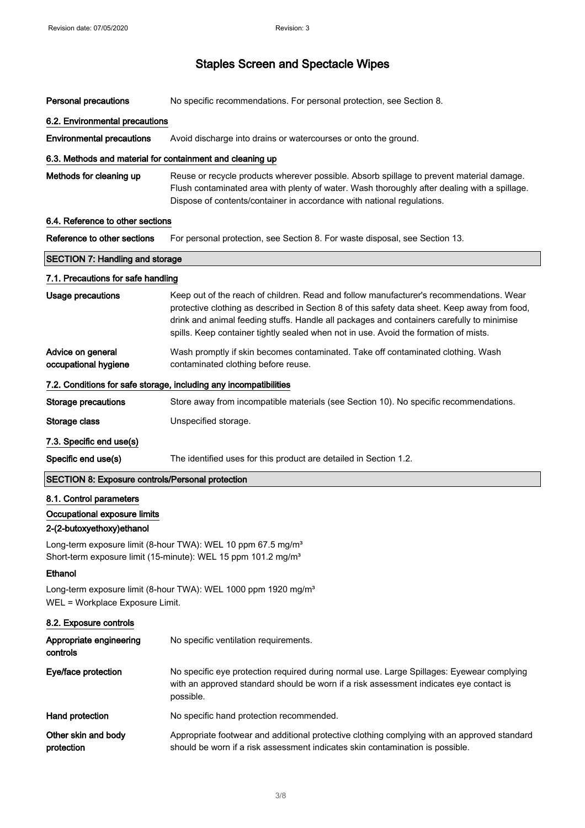| <b>Personal precautions</b>                                                                                                                           | No specific recommendations. For personal protection, see Section 8.                                                                                                                                                                                                                                                                                                          |
|-------------------------------------------------------------------------------------------------------------------------------------------------------|-------------------------------------------------------------------------------------------------------------------------------------------------------------------------------------------------------------------------------------------------------------------------------------------------------------------------------------------------------------------------------|
| 6.2. Environmental precautions                                                                                                                        |                                                                                                                                                                                                                                                                                                                                                                               |
| <b>Environmental precautions</b>                                                                                                                      | Avoid discharge into drains or watercourses or onto the ground.                                                                                                                                                                                                                                                                                                               |
| 6.3. Methods and material for containment and cleaning up                                                                                             |                                                                                                                                                                                                                                                                                                                                                                               |
| Methods for cleaning up                                                                                                                               | Reuse or recycle products wherever possible. Absorb spillage to prevent material damage.<br>Flush contaminated area with plenty of water. Wash thoroughly after dealing with a spillage.<br>Dispose of contents/container in accordance with national regulations.                                                                                                            |
| 6.4. Reference to other sections                                                                                                                      |                                                                                                                                                                                                                                                                                                                                                                               |
| Reference to other sections                                                                                                                           | For personal protection, see Section 8. For waste disposal, see Section 13.                                                                                                                                                                                                                                                                                                   |
| <b>SECTION 7: Handling and storage</b>                                                                                                                |                                                                                                                                                                                                                                                                                                                                                                               |
| 7.1. Precautions for safe handling                                                                                                                    |                                                                                                                                                                                                                                                                                                                                                                               |
| <b>Usage precautions</b>                                                                                                                              | Keep out of the reach of children. Read and follow manufacturer's recommendations. Wear<br>protective clothing as described in Section 8 of this safety data sheet. Keep away from food,<br>drink and animal feeding stuffs. Handle all packages and containers carefully to minimise<br>spills. Keep container tightly sealed when not in use. Avoid the formation of mists. |
| Advice on general<br>occupational hygiene                                                                                                             | Wash promptly if skin becomes contaminated. Take off contaminated clothing. Wash<br>contaminated clothing before reuse.                                                                                                                                                                                                                                                       |
| 7.2. Conditions for safe storage, including any incompatibilities                                                                                     |                                                                                                                                                                                                                                                                                                                                                                               |
| <b>Storage precautions</b>                                                                                                                            | Store away from incompatible materials (see Section 10). No specific recommendations.                                                                                                                                                                                                                                                                                         |
| Storage class                                                                                                                                         | Unspecified storage.                                                                                                                                                                                                                                                                                                                                                          |
| 7.3. Specific end use(s)                                                                                                                              |                                                                                                                                                                                                                                                                                                                                                                               |
| Specific end use(s)                                                                                                                                   | The identified uses for this product are detailed in Section 1.2.                                                                                                                                                                                                                                                                                                             |
| <b>SECTION 8: Exposure controls/Personal protection</b>                                                                                               |                                                                                                                                                                                                                                                                                                                                                                               |
| 8.1. Control parameters<br>Occupational exposure limits<br>2-(2-butoxyethoxy)ethanol                                                                  |                                                                                                                                                                                                                                                                                                                                                                               |
| Long-term exposure limit (8-hour TWA): WEL 10 ppm 67.5 mg/m <sup>3</sup><br>Short-term exposure limit (15-minute): WEL 15 ppm 101.2 mg/m <sup>3</sup> |                                                                                                                                                                                                                                                                                                                                                                               |
| Ethanol                                                                                                                                               |                                                                                                                                                                                                                                                                                                                                                                               |
| WEL = Workplace Exposure Limit.                                                                                                                       | Long-term exposure limit (8-hour TWA): WEL 1000 ppm 1920 mg/m <sup>3</sup>                                                                                                                                                                                                                                                                                                    |
| 8.2. Exposure controls                                                                                                                                |                                                                                                                                                                                                                                                                                                                                                                               |
| Appropriate engineering<br>controls                                                                                                                   | No specific ventilation requirements.                                                                                                                                                                                                                                                                                                                                         |
| Eye/face protection                                                                                                                                   | No specific eye protection required during normal use. Large Spillages: Eyewear complying<br>with an approved standard should be worn if a risk assessment indicates eye contact is<br>possible.                                                                                                                                                                              |
| Hand protection                                                                                                                                       | No specific hand protection recommended.                                                                                                                                                                                                                                                                                                                                      |
| Other skin and body<br>protection                                                                                                                     | Appropriate footwear and additional protective clothing complying with an approved standard<br>should be worn if a risk assessment indicates skin contamination is possible.                                                                                                                                                                                                  |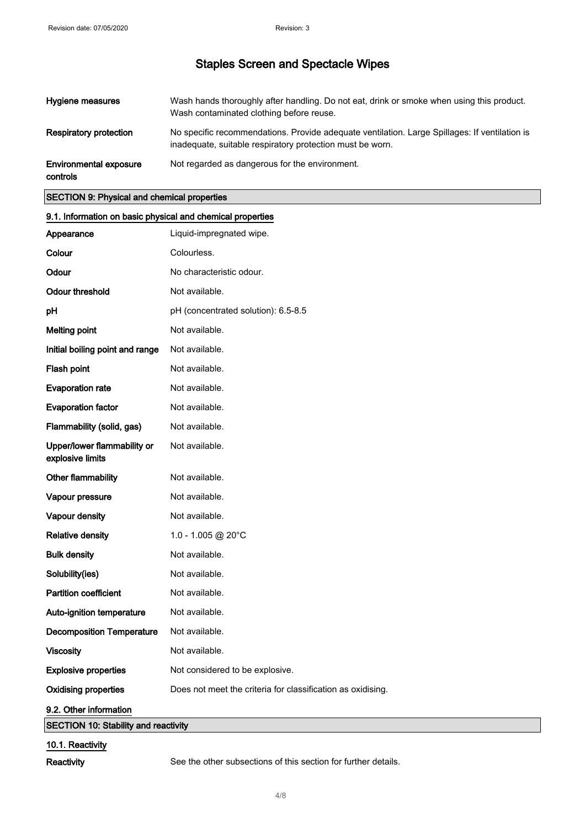| Hygiene measures                   | Wash hands thoroughly after handling. Do not eat, drink or smoke when using this product.<br>Wash contaminated clothing before reuse.                      |
|------------------------------------|------------------------------------------------------------------------------------------------------------------------------------------------------------|
| Respiratory protection             | No specific recommendations. Provide adequate ventilation. Large Spillages: If ventilation is<br>inadequate, suitable respiratory protection must be worn. |
| Environmental exposure<br>controls | Not regarded as dangerous for the environment.                                                                                                             |

#### SECTION 9: Physical and chemical properties

| 9.1. Information on basic physical and chemical properties |                                                             |
|------------------------------------------------------------|-------------------------------------------------------------|
| Appearance                                                 | Liquid-impregnated wipe.                                    |
| Colour                                                     | Colourless.                                                 |
| Odour                                                      | No characteristic odour.                                    |
| <b>Odour threshold</b>                                     | Not available.                                              |
| pH                                                         | pH (concentrated solution): 6.5-8.5                         |
| <b>Melting point</b>                                       | Not available.                                              |
| Initial boiling point and range                            | Not available.                                              |
| Flash point                                                | Not available.                                              |
| <b>Evaporation rate</b>                                    | Not available.                                              |
| <b>Evaporation factor</b>                                  | Not available.                                              |
| Flammability (solid, gas)                                  | Not available.                                              |
| Upper/lower flammability or<br>explosive limits            | Not available.                                              |
| Other flammability                                         | Not available.                                              |
| Vapour pressure                                            | Not available.                                              |
| Vapour density                                             | Not available.                                              |
| <b>Relative density</b>                                    | 1.0 - 1.005 @ 20°C                                          |
| <b>Bulk density</b>                                        | Not available.                                              |
| Solubility(ies)                                            | Not available.                                              |
| <b>Partition coefficient</b>                               | Not available.                                              |
| Auto-ignition temperature                                  | Not available.                                              |
| <b>Decomposition Temperature</b>                           | Not available.                                              |
| <b>Viscosity</b>                                           | Not available.                                              |
| <b>Explosive properties</b>                                | Not considered to be explosive.                             |
| <b>Oxidising properties</b>                                | Does not meet the criteria for classification as oxidising. |
| 9.2. Other information                                     |                                                             |
| <b>SECTION 10: Stability and reactivity</b>                |                                                             |
| 10.1. Reactivity                                           |                                                             |

Reactivity See the other subsections of this section for further details.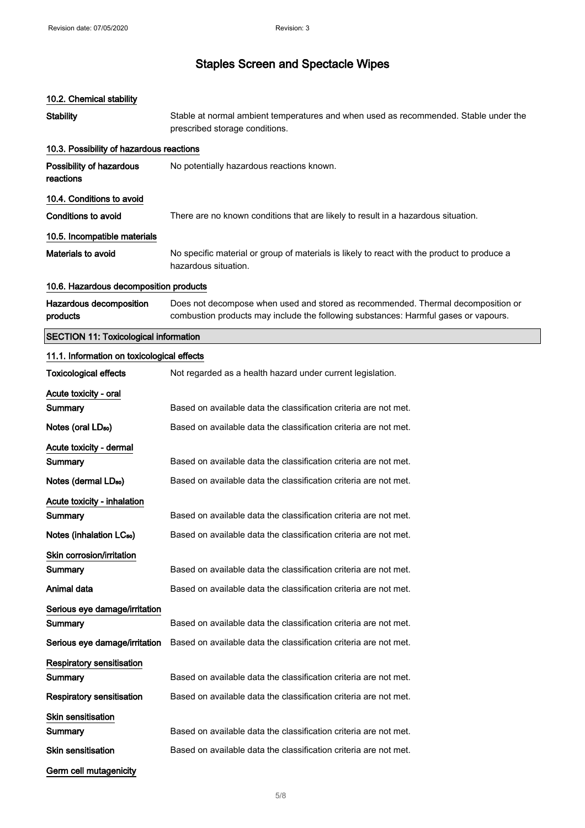### 10.2. Chemical stability

| <b>Stability</b>                             | Stable at normal ambient temperatures and when used as recommended. Stable under the<br>prescribed storage conditions.                                                  |
|----------------------------------------------|-------------------------------------------------------------------------------------------------------------------------------------------------------------------------|
| 10.3. Possibility of hazardous reactions     |                                                                                                                                                                         |
| Possibility of hazardous<br>reactions        | No potentially hazardous reactions known.                                                                                                                               |
| 10.4. Conditions to avoid                    |                                                                                                                                                                         |
| Conditions to avoid                          | There are no known conditions that are likely to result in a hazardous situation.                                                                                       |
| 10.5. Incompatible materials                 |                                                                                                                                                                         |
| <b>Materials to avoid</b>                    | No specific material or group of materials is likely to react with the product to produce a<br>hazardous situation.                                                     |
| 10.6. Hazardous decomposition products       |                                                                                                                                                                         |
| Hazardous decomposition<br>products          | Does not decompose when used and stored as recommended. Thermal decomposition or<br>combustion products may include the following substances: Harmful gases or vapours. |
| <b>SECTION 11: Toxicological information</b> |                                                                                                                                                                         |
| 11.1. Information on toxicological effects   |                                                                                                                                                                         |
| <b>Toxicological effects</b>                 | Not regarded as a health hazard under current legislation.                                                                                                              |
| Acute toxicity - oral                        |                                                                                                                                                                         |
| Summary                                      | Based on available data the classification criteria are not met.                                                                                                        |
| Notes (oral LD <sub>50</sub> )               | Based on available data the classification criteria are not met.                                                                                                        |
| Acute toxicity - dermal                      |                                                                                                                                                                         |
| Summary                                      | Based on available data the classification criteria are not met.                                                                                                        |
| Notes (dermal LD <sub>50</sub> )             | Based on available data the classification criteria are not met.                                                                                                        |
| Acute toxicity - inhalation                  |                                                                                                                                                                         |
| Summary                                      | Based on available data the classification criteria are not met.                                                                                                        |
| Notes (inhalation LC <sub>50</sub> )         | Based on available data the classification criteria are not met.                                                                                                        |
| Skin corrosion/irritation                    |                                                                                                                                                                         |
| Summary                                      | Based on available data the classification criteria are not met.                                                                                                        |
| Animal data                                  | Based on available data the classification criteria are not met.                                                                                                        |
| Serious eye damage/irritation<br>Summary     | Based on available data the classification criteria are not met.                                                                                                        |
| Serious eye damage/irritation                | Based on available data the classification criteria are not met.                                                                                                        |
| <b>Respiratory sensitisation</b>             |                                                                                                                                                                         |
| Summary                                      | Based on available data the classification criteria are not met.                                                                                                        |
| Respiratory sensitisation                    | Based on available data the classification criteria are not met.                                                                                                        |
| <b>Skin sensitisation</b>                    |                                                                                                                                                                         |
| Summary                                      | Based on available data the classification criteria are not met.                                                                                                        |
| Skin sensitisation                           | Based on available data the classification criteria are not met.                                                                                                        |
| Germ cell mutagenicity                       |                                                                                                                                                                         |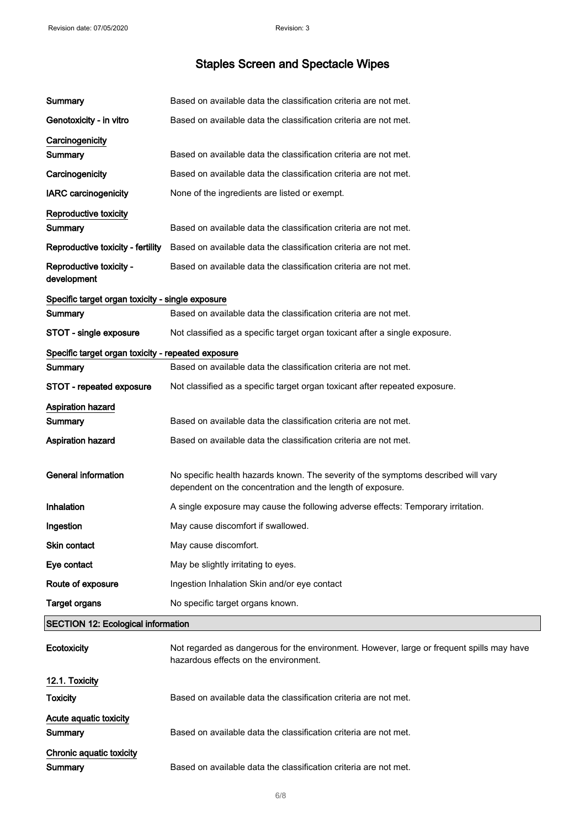| Summary                                            | Based on available data the classification criteria are not met.                                                                                 |
|----------------------------------------------------|--------------------------------------------------------------------------------------------------------------------------------------------------|
| Genotoxicity - in vitro                            | Based on available data the classification criteria are not met.                                                                                 |
| Carcinogenicity                                    |                                                                                                                                                  |
| Summary                                            | Based on available data the classification criteria are not met.                                                                                 |
| Carcinogenicity                                    | Based on available data the classification criteria are not met.                                                                                 |
| <b>IARC</b> carcinogenicity                        | None of the ingredients are listed or exempt.                                                                                                    |
| Reproductive toxicity                              |                                                                                                                                                  |
| Summary                                            | Based on available data the classification criteria are not met.                                                                                 |
| Reproductive toxicity - fertility                  | Based on available data the classification criteria are not met.                                                                                 |
| Reproductive toxicity -<br>development             | Based on available data the classification criteria are not met.                                                                                 |
| Specific target organ toxicity - single exposure   |                                                                                                                                                  |
| Summary                                            | Based on available data the classification criteria are not met.                                                                                 |
| STOT - single exposure                             | Not classified as a specific target organ toxicant after a single exposure.                                                                      |
| Specific target organ toxicity - repeated exposure |                                                                                                                                                  |
| Summary                                            | Based on available data the classification criteria are not met.                                                                                 |
| STOT - repeated exposure                           | Not classified as a specific target organ toxicant after repeated exposure.                                                                      |
| Aspiration hazard                                  |                                                                                                                                                  |
| <b>Summary</b>                                     | Based on available data the classification criteria are not met.                                                                                 |
| <b>Aspiration hazard</b>                           | Based on available data the classification criteria are not met.                                                                                 |
| <b>General information</b>                         | No specific health hazards known. The severity of the symptoms described will vary<br>dependent on the concentration and the length of exposure. |
| Inhalation                                         | A single exposure may cause the following adverse effects: Temporary irritation.                                                                 |
| Ingestion                                          | May cause discomfort if swallowed.                                                                                                               |
| Skin contact                                       | May cause discomfort.                                                                                                                            |
| Eye contact                                        | May be slightly irritating to eyes.                                                                                                              |
| Route of exposure                                  | Ingestion Inhalation Skin and/or eye contact                                                                                                     |
| <b>Target organs</b>                               | No specific target organs known.                                                                                                                 |
| <b>SECTION 12: Ecological information</b>          |                                                                                                                                                  |
| Ecotoxicity                                        | Not regarded as dangerous for the environment. However, large or frequent spills may have<br>hazardous effects on the environment.               |
| 12.1. Toxicity                                     |                                                                                                                                                  |
| <b>Toxicity</b>                                    | Based on available data the classification criteria are not met.                                                                                 |
| Acute aquatic toxicity                             |                                                                                                                                                  |
| Summary                                            | Based on available data the classification criteria are not met.                                                                                 |
| Chronic aquatic toxicity<br>Summary                | Based on available data the classification criteria are not met.                                                                                 |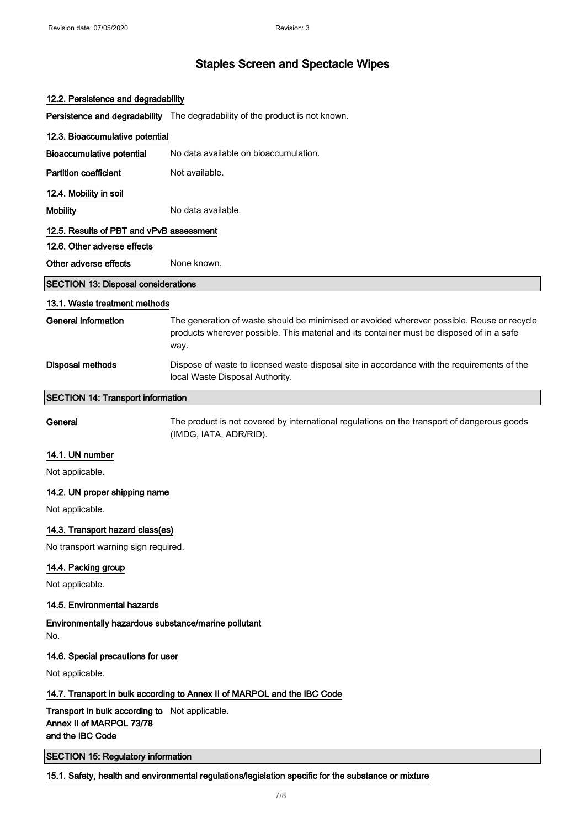| 12.2. Persistence and degradability                                                            |                                                                                                                                                                                                 |
|------------------------------------------------------------------------------------------------|-------------------------------------------------------------------------------------------------------------------------------------------------------------------------------------------------|
|                                                                                                | Persistence and degradability The degradability of the product is not known.                                                                                                                    |
| 12.3. Bioaccumulative potential                                                                |                                                                                                                                                                                                 |
| <b>Bioaccumulative potential</b>                                                               | No data available on bioaccumulation.                                                                                                                                                           |
| <b>Partition coefficient</b>                                                                   | Not available.                                                                                                                                                                                  |
| 12.4. Mobility in soil                                                                         |                                                                                                                                                                                                 |
| <b>Mobility</b>                                                                                | No data available.                                                                                                                                                                              |
| 12.5. Results of PBT and vPvB assessment                                                       |                                                                                                                                                                                                 |
| 12.6. Other adverse effects                                                                    |                                                                                                                                                                                                 |
| Other adverse effects                                                                          | None known.                                                                                                                                                                                     |
| <b>SECTION 13: Disposal considerations</b>                                                     |                                                                                                                                                                                                 |
| 13.1. Waste treatment methods                                                                  |                                                                                                                                                                                                 |
| <b>General information</b>                                                                     | The generation of waste should be minimised or avoided wherever possible. Reuse or recycle<br>products wherever possible. This material and its container must be disposed of in a safe<br>way. |
| <b>Disposal methods</b>                                                                        | Dispose of waste to licensed waste disposal site in accordance with the requirements of the<br>local Waste Disposal Authority.                                                                  |
| <b>SECTION 14: Transport information</b>                                                       |                                                                                                                                                                                                 |
| General                                                                                        | The product is not covered by international regulations on the transport of dangerous goods<br>(IMDG, IATA, ADR/RID).                                                                           |
| 14.1. UN number                                                                                |                                                                                                                                                                                                 |
| Not applicable.                                                                                |                                                                                                                                                                                                 |
| 14.2. UN proper shipping name                                                                  |                                                                                                                                                                                                 |
| Not applicable.                                                                                |                                                                                                                                                                                                 |
| 14.3. Transport hazard class(es)                                                               |                                                                                                                                                                                                 |
| No transport warning sign required.                                                            |                                                                                                                                                                                                 |
| 14.4. Packing group                                                                            |                                                                                                                                                                                                 |
| Not applicable.                                                                                |                                                                                                                                                                                                 |
| 14.5. Environmental hazards                                                                    |                                                                                                                                                                                                 |
| Environmentally hazardous substance/marine pollutant<br>No.                                    |                                                                                                                                                                                                 |
| 14.6. Special precautions for user                                                             |                                                                                                                                                                                                 |
| Not applicable.                                                                                |                                                                                                                                                                                                 |
| 14.7. Transport in bulk according to Annex II of MARPOL and the IBC Code                       |                                                                                                                                                                                                 |
| Transport in bulk according to Not applicable.<br>Annex II of MARPOL 73/78<br>and the IBC Code |                                                                                                                                                                                                 |

SECTION 15: Regulatory information

### 15.1. Safety, health and environmental regulations/legislation specific for the substance or mixture